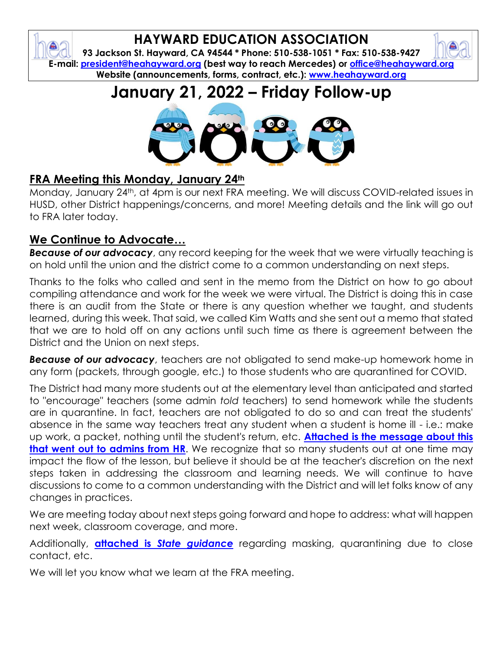## **HAYWARD EDUCATION ASSOCIATION**

**93 Jackson St. Hayward, CA 94544 \* Phone: 510-538-1051 \* Fax: 510-538-9427 E-mail: [president@heahayward.org](mailto:president@heahayward.org) (best way to reach Mercedes) or [office@heahayward.org](mailto:office@heahayward.org) Website (announcements, forms, contract, etc.): [www.heahayward.org](http://www.heahayward.org/)**

## **January 21, 2022 – Friday Follow-up**



## **FRA Meeting this Monday, January 24th**

Monday, January 24th, at 4pm is our next FRA meeting. We will discuss COVID-related issues in HUSD, other District happenings/concerns, and more! Meeting details and the link will go out to FRA later today.

### **We Continue to Advocate…**

**Because of our advocacy**, any record keeping for the week that we were virtually teaching is on hold until the union and the district come to a common understanding on next steps.

Thanks to the folks who called and sent in the memo from the District on how to go about compiling attendance and work for the week we were virtual. The District is doing this in case there is an audit from the State or there is any question whether we taught, and students learned, during this week. That said, we called Kim Watts and she sent out a memo that stated that we are to hold off on any actions until such time as there is agreement between the District and the Union on next steps.

*Because of our advocacy*, teachers are not obligated to send make-up homework home in any form (packets, through google, etc.) to those students who are quarantined for COVID.

The District had many more students out at the elementary level than anticipated and started to "encourage" teachers (some admin *told* teachers) to send homework while the students are in quarantine. In fact, teachers are not obligated to do so and can treat the students' absence in the same way teachers treat any student when a student is home ill - i.e.: make up work, a packet, nothing until the student's return, etc. **[Attached is the message about this](https://drive.google.com/file/d/1V8Hg8WfegzcTFZhORs55QyKGdmqJtLCw/view?usp=sharing)  [that went out to admins from HR](https://drive.google.com/file/d/1V8Hg8WfegzcTFZhORs55QyKGdmqJtLCw/view?usp=sharing).** We recognize that so many students out at one time may impact the flow of the lesson, but believe it should be at the teacher's discretion on the next steps taken in addressing the classroom and learning needs. We will continue to have discussions to come to a common understanding with the District and will let folks know of any changes in practices.

We are meeting today about next steps going forward and hope to address: what will happen next week, classroom coverage, and more.

Additionally, **attached is** *[State guidance](https://drive.google.com/file/d/15uvX4RppsREnjO47SVQsG2TbjYq-y6Gq/view?usp=sharing)* regarding masking, quarantining due to close contact, etc.

We will let you know what we learn at the FRA meeting.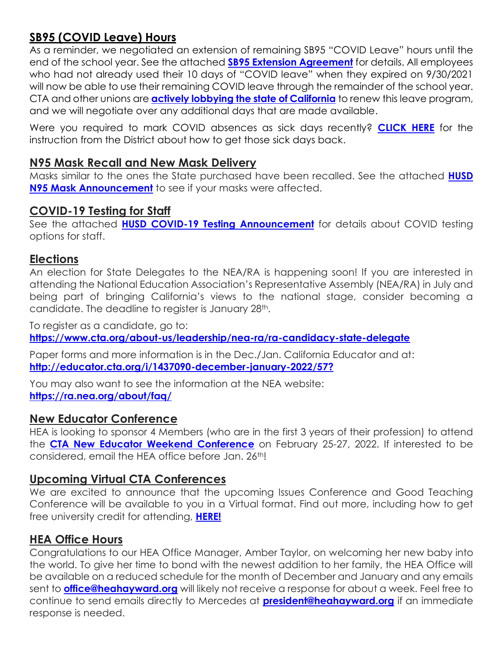## **SB95 (COVID Leave) Hours**

As a reminder, we negotiated an extension of remaining SB95 "COVID Leave" hours until the end of the school year. See the attached **[SB95 Extension Agreement](https://docs.google.com/document/d/15u63Drxm5Rd3tsxJwK-CvddqrqM1S-GR/edit?usp=sharing&ouid=106387318619838498065&rtpof=true&sd=true)** for details. All employees who had not already used their 10 days of "COVID leave" when they expired on 9/30/2021 will now be able to use their remaining COVID leave through the remainder of the school year. CTA and other unions are **[actively lobbying the state of California](https://drive.google.com/file/d/10o7g-E52gN30WHF5H46yXfAtmTCk_7ig/view?usp=sharing)** to renew this leave program, and we will negotiate over any additional days that are made available.

Were you required to mark COVID absences as sick days recently? **[CLICK HERE](https://drive.google.com/file/d/1sRLO2DM2xYHMeSgECUM0CFkndKnz-Rgu/view?usp=sharing)** for the instruction from the District about how to get those sick days back.

#### **N95 Mask Recall and New Mask Delivery**

Masks similar to the ones the State purchased have been recalled. See the attached **[HUSD](https://drive.google.com/file/d/1QPgUW2xGCHmztuT9xOITzxN2t4kPp4nZ/view?usp=sharing)  [N95 Mask Announcement](https://drive.google.com/file/d/1QPgUW2xGCHmztuT9xOITzxN2t4kPp4nZ/view?usp=sharing)** to see if your masks were affected.

#### **COVID-19 Testing for Staff**

See the attached **[HUSD COVID-19 Testing Announcement](https://drive.google.com/file/d/1KkOTYYzcAco2bWnIwP_wNHvj2SksyIH6/view?usp=sharing)** for details about COVID testing options for staff.

#### **Elections**

An election for State Delegates to the NEA/RA is happening soon! If you are interested in attending the National Education Association's Representative Assembly (NEA/RA) in July and being part of bringing California's views to the national stage, consider becoming a candidate. The deadline to register is January 28th.

To register as a candidate, go to: **<https://www.cta.org/about-us/leadership/nea-ra/ra-candidacy-state-delegate>**

Paper forms and more information is in the Dec./Jan. California Educator and at: **<http://educator.cta.org/i/1437090-december-january-2022/57?>**

You may also want to see the information at the NEA website: **<https://ra.nea.org/about/faq/>**

#### **New Educator Conference**

HEA is looking to sponsor 4 Members (who are in the first 3 years of their profession) to attend the **[CTA New Educator Weekend Conference](https://drive.google.com/file/d/1om__GTYSawI6NLvoKFgllFBxRtMRKkSm/view?usp=sharing)** on February 25-27, 2022. If interested to be considered, email the HEA office before Jan. 26<sup>th</sup>!

#### **Upcoming Virtual CTA Conferences**

We are excited to announce that the upcoming Issues Conference and Good Teaching Conference will be available to you in a Virtual format. Find out more, including how to get free university credit for attending, **[HERE!](http://view.cta-mailings.org/?qs=dbcbe756aba43c3308ede7e384e264c29f4d9752f131a400e7f9afe2a25a52c1d9b8e239785b847b1cade309a3cee09c31798d4496535b084fd577b25a5f5e034ad61d358b8c6506b9c400360ba3f6394c171705d7777bd2)**

#### **HEA Office Hours**

Congratulations to our HEA Office Manager, Amber Taylor, on welcoming her new baby into the world. To give her time to bond with the newest addition to her family, the HEA Office will be available on a reduced schedule for the month of December and January and any emails sent to **[office@heahayward.org](mailto:office@heahayward.org)** will likely not receive a response for about a week. Feel free to continue to send emails directly to Mercedes at **[president@heahayward.org](mailto:president@heahayward.org)** if an immediate response is needed.